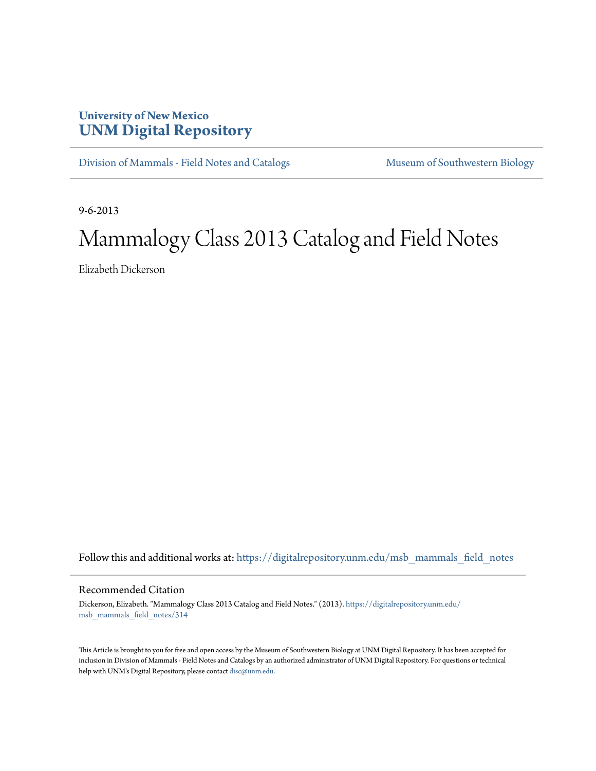## **University of New Mexico [UNM Digital Repository](https://digitalrepository.unm.edu?utm_source=digitalrepository.unm.edu%2Fmsb_mammals_field_notes%2F314&utm_medium=PDF&utm_campaign=PDFCoverPages)**

[Division of Mammals - Field Notes and Catalogs](https://digitalrepository.unm.edu/msb_mammals_field_notes?utm_source=digitalrepository.unm.edu%2Fmsb_mammals_field_notes%2F314&utm_medium=PDF&utm_campaign=PDFCoverPages) [Museum of Southwestern Biology](https://digitalrepository.unm.edu/msb?utm_source=digitalrepository.unm.edu%2Fmsb_mammals_field_notes%2F314&utm_medium=PDF&utm_campaign=PDFCoverPages)

9-6-2013

## Mammalogy Class 2013 Catalog and Field Notes

Elizabeth Dickerson

Follow this and additional works at: [https://digitalrepository.unm.edu/msb\\_mammals\\_field\\_notes](https://digitalrepository.unm.edu/msb_mammals_field_notes?utm_source=digitalrepository.unm.edu%2Fmsb_mammals_field_notes%2F314&utm_medium=PDF&utm_campaign=PDFCoverPages)

## Recommended Citation

Dickerson, Elizabeth. "Mammalogy Class 2013 Catalog and Field Notes." (2013). [https://digitalrepository.unm.edu/](https://digitalrepository.unm.edu/msb_mammals_field_notes/314?utm_source=digitalrepository.unm.edu%2Fmsb_mammals_field_notes%2F314&utm_medium=PDF&utm_campaign=PDFCoverPages) [msb\\_mammals\\_field\\_notes/314](https://digitalrepository.unm.edu/msb_mammals_field_notes/314?utm_source=digitalrepository.unm.edu%2Fmsb_mammals_field_notes%2F314&utm_medium=PDF&utm_campaign=PDFCoverPages)

This Article is brought to you for free and open access by the Museum of Southwestern Biology at UNM Digital Repository. It has been accepted for inclusion in Division of Mammals - Field Notes and Catalogs by an authorized administrator of UNM Digital Repository. For questions or technical help with UNM's Digital Repository, please contact [disc@unm.edu](mailto:disc@unm.edu).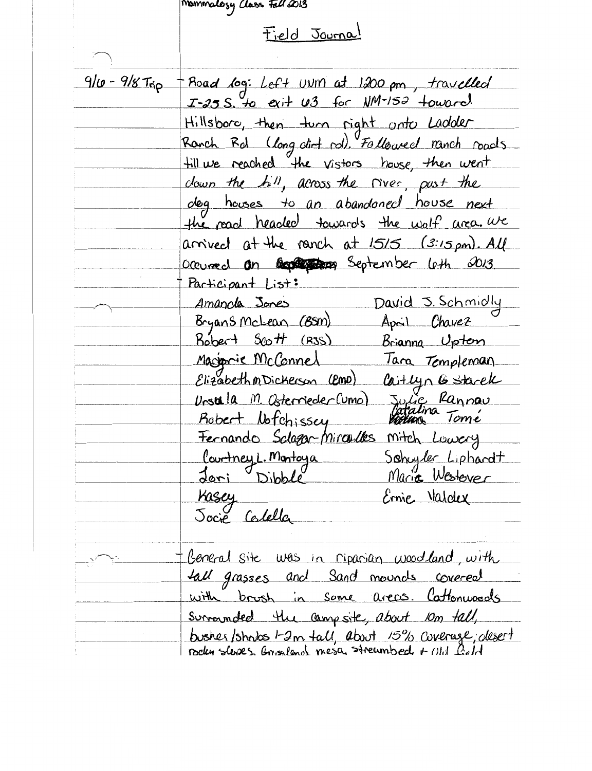$\sum$ 

## memmology class Felicions<br>Field Journal

| 9/10 - 9/8 Trip | Road log: Left UNM at 1200 pm, travelled            |
|-----------------|-----------------------------------------------------|
|                 | $I-25 S$ , to exit $U3$ for $N/M-152$ toward        |
|                 | Hillsboro, then turn right onto Ladder              |
|                 | Ronch Rd (long dirt rd). Followed ranch roads       |
|                 | fill we reached the vistors house, then went        |
|                 | down the hill, across the river, pust the           |
|                 | deg houses to an abandoned house next               |
|                 | the read headed towards the wolf area. We           |
|                 | arrived at the ranch at 1515 (3:15 pm). All         |
|                 | Occurred an Goptemen September leth 2013            |
|                 | Participant List:                                   |
|                 | David J. Schmidly<br><i>Amanola</i> Jones           |
|                 | Bryans McLean (BSM)<br>April Chavez                 |
|                 | Kobert Scott (RJS)<br>Brianna Uptern                |
|                 | Macionie McConnel<br>lara Templeman                 |
|                 | Elizabeth M Dickerson (EMD)<br>Caitlyn G Starek     |
|                 | Urstella M. Osterrieder (umo)                       |
|                 | Julie Rannau<br>Catalina Tomé<br>Robert Notchissey  |
|                 | Fernando Solagar-Mirculles<br>mitch Lowery          |
|                 | <u>l'ourtney L. Montoya</u>                         |
|                 | Schuyler Liphardt<br>Maria Westever<br>Joni Dibble  |
|                 | Kasey<br>Ernie Valdex                               |
|                 | Jocie Colella                                       |
|                 |                                                     |
|                 | Beneral site was in ripanian woodland, with         |
|                 | tall grasses and Sand mounds covered                |
|                 | with brush in some areas. Cattonwoods               |
|                 | surrounded the campsite, about im tall,             |
|                 | bushes/shrubs 1-2m tall, about 15% coverage, desert |
|                 |                                                     |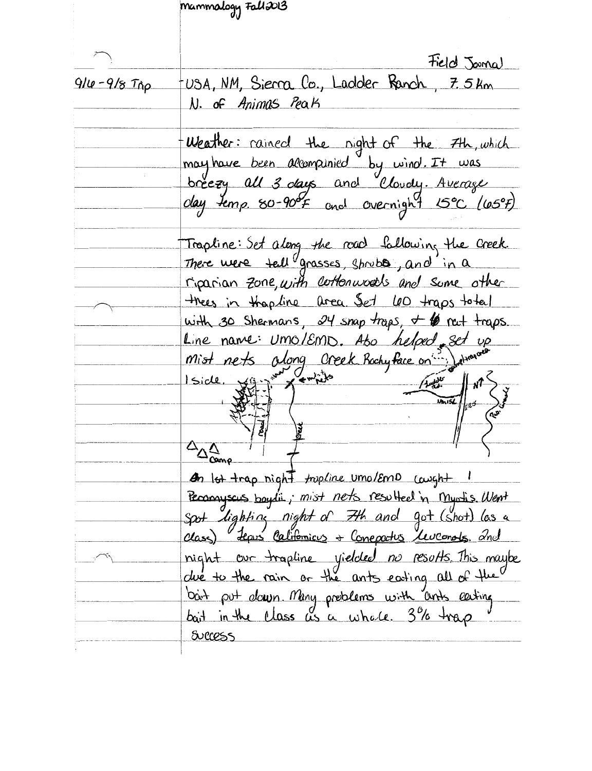|                 | Mammalogy Fall 2013                                                                                      |
|-----------------|----------------------------------------------------------------------------------------------------------|
|                 |                                                                                                          |
|                 |                                                                                                          |
|                 | Field Journal                                                                                            |
| $910 - 9/8$ Tήp | USA, NM, Sierra Co., Ladder Ranch, 7.5km                                                                 |
|                 | N. of Animas Peak                                                                                        |
|                 |                                                                                                          |
|                 | Weather: rained the night of the 7th, which                                                              |
|                 | may have been alcompunied by wind. It was                                                                |
|                 | breezy all 3 days and Cloudy. Average                                                                    |
|                 |                                                                                                          |
|                 |                                                                                                          |
|                 | Trapline: Set along the road following the Creek.                                                        |
|                 | There were tell grasses, shrubs, and in a                                                                |
|                 | riparian zone, with cottonwoods and some other                                                           |
|                 | thees in thop line area Set LOO traps total                                                              |
|                 | with 30 Shermans, $24$ snap traps, $46$ net traps.                                                       |
|                 | Line name: Umo/EMD. Abo helped set up                                                                    |
|                 |                                                                                                          |
|                 | Iside, Viz in family                                                                                     |
|                 | $\frac{1}{\sqrt{\frac{1}{100}}\cdot\frac{1}{100}}$ of $\frac{1}{\sqrt{\frac{1}{100}}\cdot\frac{1}{100}}$ |
|                 |                                                                                                          |
|                 |                                                                                                          |
|                 | $\Delta_{\Delta\Delta}$                                                                                  |
|                 | In lot trap night <i>tropline</i> umo/Emp caught 1                                                       |
|                 | Perconnyscus boylis, mist nets resulted in myrtis. Went                                                  |
|                 | Spot lighting night of 7th and got (shot) las a                                                          |
|                 | class) Lepis Californicus + Conepatis Leveonots and                                                      |
|                 | night our trapline yielded no results. This maybe                                                        |
|                 | due to the rain or the ants eating all of the                                                            |
|                 |                                                                                                          |
|                 | bait put down Many problems with and eating<br>bait in the class as a whole. 3% trap                     |
|                 | Success                                                                                                  |
|                 |                                                                                                          |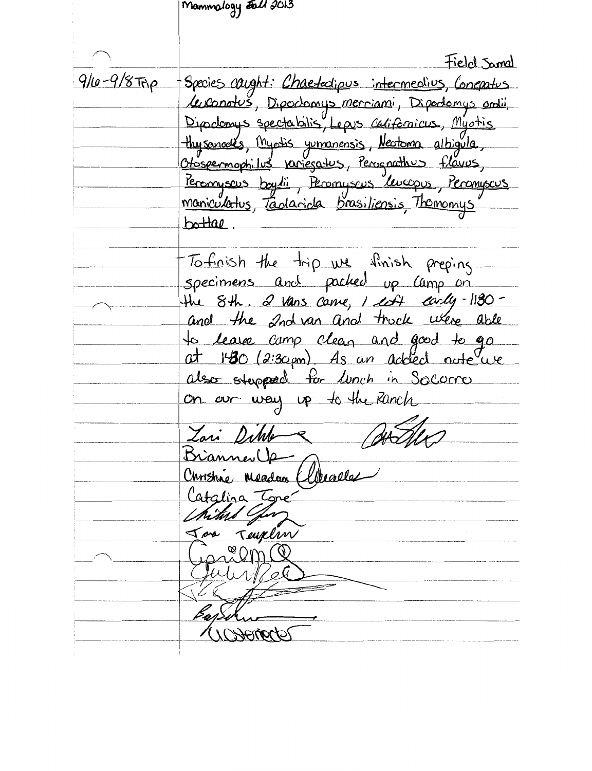Mammology *Fall 2*013 Field Samal 9/10-9/8 Trip - Species caught: Chaetedipus intermedius, Concratus Le conotes, Dipoclomys merriami, Dipoclomys antii,<br>Dipoclomys spectabilis, Lepus carifonicus, Myotis thysanacles, Myotis yumanensis, Newtoma albigula, Otospermophilus variegatus, Persenathus flavus, Peronyseus boylii, Peronyseus Leucopus, Peronyseus<br>maniculatus, Tanlarida brasiliensis, Thomonys bottae To finish the trip we finish preping specimens and packed up camp on the 8th. 2 vans care, 1 cost early-1130and the 2nd van and truck were able to lease camp clean and good to go also stepped for lunch in Socomo on our way up to the Ranch Zari Dimo BrannevUp Christine Meadan (Celevalle Catalina Tone Teuplin ngeom Q Unanade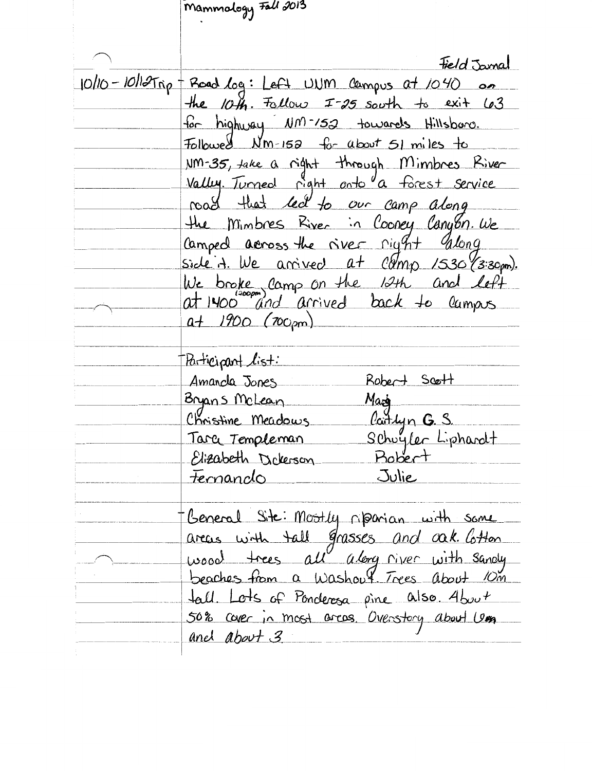Mammology Fall 2013 Field Jamal  $10/10 - 10/12$   $\pi_{0}$  + Road  $log:$  Left UVM campus at  $1040$  on the  $10\text{H}$ . Follow I-25 south to exit 63 for highway NM-152 towards Hillsboro. Followed  $Nm=158$  for about 51 miles to NM-35, take a right through Mimbres River Valley Tunned right anto a forest service road that led to our camp along the Mimbres River in Cooney Canyon. We Camped across the river right glong side A. We arrived at Comp 1530 (3:30m). We broke camp on the 12th and left at 1400 and arrived back to lumps  $a + 1900$  (700pm) Baticipant list: Robert Scott Amanda Jones Mazi Bryans McLean Christine Meadows Carlyn G. S. Schuyler Liphardt Tarce Templeman **Bobert** Elizabeth Delerson Julie Fernando General Site: Mostly riparian with some areas with tall grasses and oak lotton wood trees all along river with sandy beaches from a Washout Trees about 10m fall. Lots of Ponderosa pine also. About 50% caver in most areas. Overstary about Use anel about 3.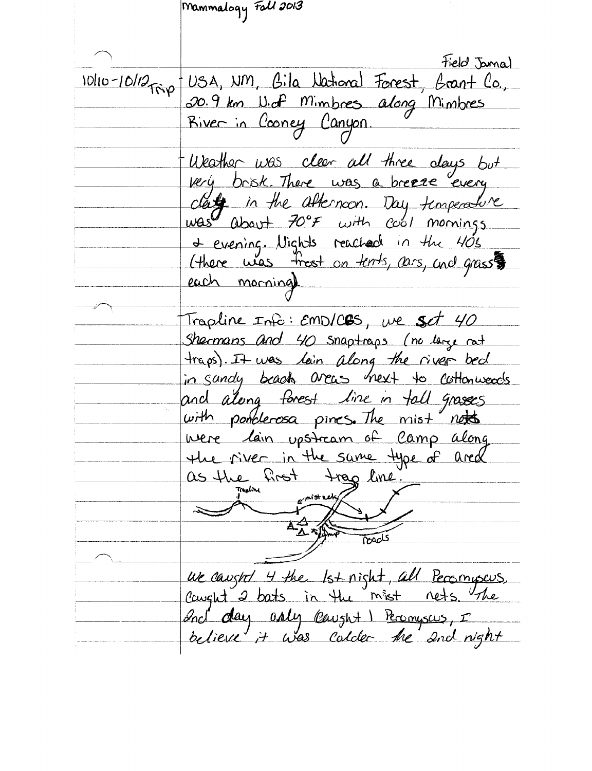Mammalogy Foll 2013 *Field* Jamal 10/10-10/12 rip USA, NM, Bila National Forest, Brant Co., River in Cooney Canyon. Weather was clear all three days but very brisk. There was a breaze every date in the afternoon. Day temperature was about 70°F with cool mornings<br>+ evening. Vights reached in the 405<br>(there was frest on tents, cars, and grass each morning). Trapline Info: EMDICES, we set 40 Shermans and 40 snaptraps (no large not traps). It was lain along the river bed in sandy beach areas hext to cottonwoods and along forest line in tall grasses with ponclerosa pines. The mist notes were lain upstream of Camp along the river in the same type of ared as the first trag line of mist nets Toacls ue caught 4 the 1st night, all Persmyseus,<br>Cought 2 bats in the mist nets. The Ind day asly caught I Peranyseus, I believe it was calder the 2nd night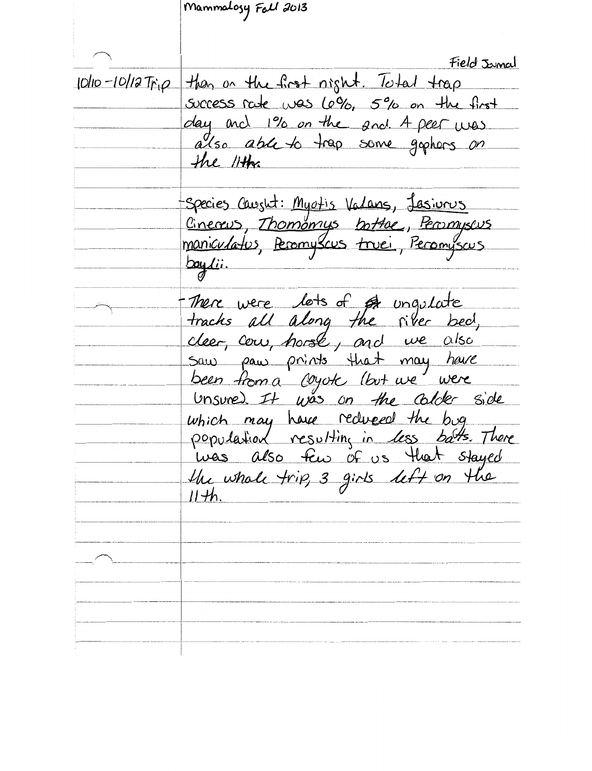Mammalosy Fall 2013 Field Jamal 10/10-10/12 Trip than on the first night. Total trap success rate was 6%, 5% on the first day and 1% on the and 4 peer was<br>also able to trap some gaphors on the 11th -Species Causht: Myotis Valans, Jasiurus Cinereus, Thomomys bottoe, Persmyseus maniculatus, Peromyscus truei, Peromyscus boylii. There were lots of or ungulate tracks all along the river bed, cleer, cou, horse, and we also Saw paw prints that may have been from a coyok (but we were<br>Unsure). It was on the colober side which may have reduced the bug population resulting in less bats. There<br>was also few of us that stayed the whole trip, 3 girls left on the  $11 + h$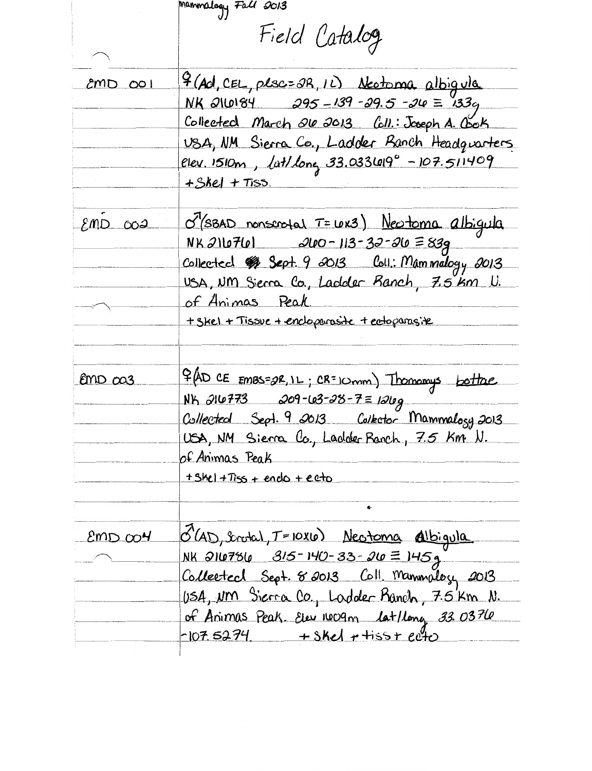mammalogy Fall 2013 Field Catalog 4 (Ad, CEL, plsc= 2R, 1L) Neotoma albigula  $200$   $\sigma$ NK 2110184 295-139-29.5-210 = 133<sub>9</sub> Collected March 200 2013 Coll.: Joseph A. Cook USA, NM Sierra Co., Ladder Ranch Headquarters elev. 1510m, lat/long 33.033619° - 107.511409  $+5ke$  +  $Tiss$ . O'(SBAD nonscrotal T= LOK3) Neotoma albigula  $EMD$   $002$  $200 - 113 - 33 - 30 = 839$ NK 216761 Collected # Sept. 9 2013 Coll: Mammalogy 2013 USA, UM Sierra Co., Lackler Ranch, 7.5 km U. of Animas Peak + Skel + Tissue + encloperasite + ectoparasite \$ (AD CE EMBS=2R, IL; CR=10mm) Thomomys bottage Emp ca3 209-103-28-7=12109 **NK 216773** Collected Sept. 9 2013 Collector Mammalogy 2013 USA, NM Sierra Co., Ladder Ranch, 7.5 Km N. of Animas Peak  $+5he$  +  $Tiss$  + endo + ecto 8 (AD, Inotal, T=10X10) Neotoma Albigula  $2mDCO<sup>4</sup>$ NK 210786 315-140-33-20 = 145g Collected Sept. 8 2013 Coll. Manmology 2013 USA, um Sierra Co., Ladder Pranch, 7.5 km N. of Animas Peak. Elev 1009m lat/long 33.0376  $-107.5274$  + skel + tiss + ecto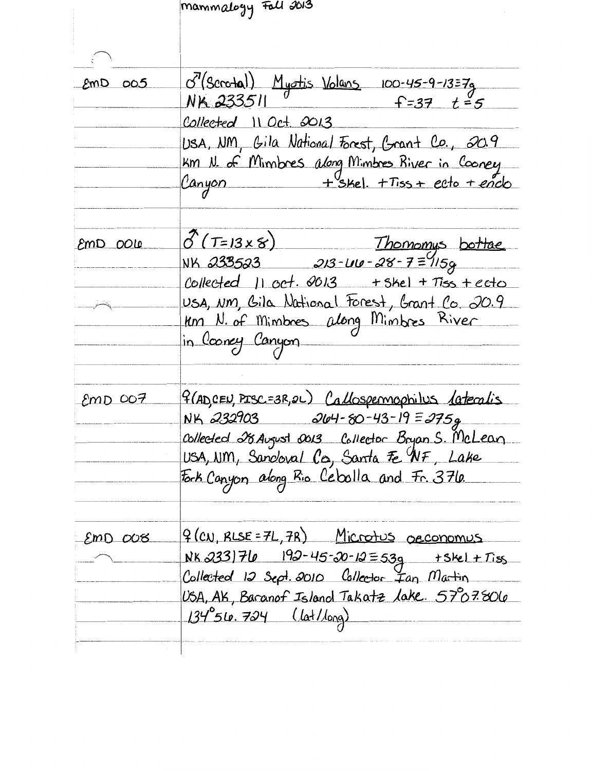mammalogy Foll 2013 8'(Scrotal) Myotis Volans 100-45-9-13=7g<br>NK 233511 f=37 t=5  $RMD$   $005$ Collected 11 Oct. 2013 USA, NM, Gila National Forest, Grant Co., 20.9 Km N. of Mimbres along Mimbres River in Cooney Canyon + Skel. + Tiss + ecto + enclo  $\delta$ (T=13x8) Thomomys bottae emD 0010 NK 233523 213-410-28-7=115g Collected  $11$  oct.  $9013$  + skel + Tiss + ecto USA, NM, Gila National Forest, Grant Co. 20.9 km N. of Mimbres along Mimbres River in Cooncy Canyon 9 (ADCEN, PISC=3R, 2L) Callospermophilus lateralis  $EmD$  007 NK 232903  $204 - 80 - 43 - 19 = 2759$ Collected 28 August 0013 Collector Bryan S. McLean USA, NM, Sancloval Co, Santa Fe NF, Lake Fork Canyon along Rio Ceballa and Fr. 376. <u> 9 (CN, RLSE = 7L, 7R) Microtus occonomus</u>  $EmD$   $OOB$  $192 - 45 - 20 - 12 = 539$ NK 233)76  $+5$ kel +  $T$ iss Collected 12 Sept. 2010 Collector Ian Martin USA, AK, Baranof Island Takatz lake. 57°07.806  $134^{\circ}$ 56. 724 (lat/long)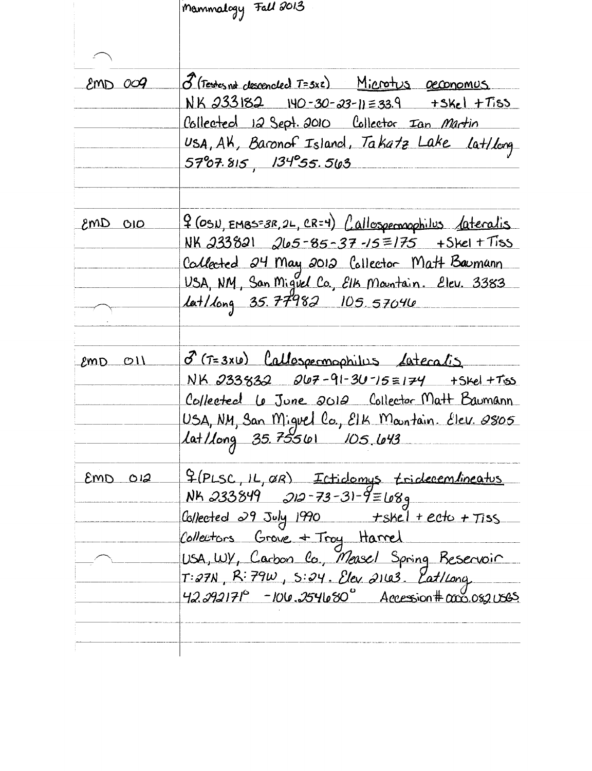|             | Mammalogy Fall 2013                                                                                  |
|-------------|------------------------------------------------------------------------------------------------------|
|             |                                                                                                      |
|             |                                                                                                      |
| 2000        | <u> 3 (Testes not clescencled T=3x2) Microtus geconomus</u>                                          |
|             | $NK$ $233182$ $140 - 30 - 33 - 11 = 33.9$ $+3Kc$ $+Tiss$                                             |
|             | Collected 12 Sept. 2010 Collector Ian Martin                                                         |
|             | USA, AK, Baronof Island, Takatz Lake Lat/Long                                                        |
|             | 57°07.815, 134°55.563                                                                                |
|             | <u> 9 (OSN, EMBS=3R, 2L, CR=4) Callospermophilus dateralis</u>                                       |
| $2010$ ams  | <u>NK 233821 265-85-37-15=175 +Skel+Tiss</u>                                                         |
|             | Callected 24 May 2012 Collector Matt Baumann                                                         |
|             | USA, NM, San Miguel Co., Elk Mountain. Elev. 3383                                                    |
|             | <u>lat/long 35.77982 105.57040</u>                                                                   |
|             |                                                                                                      |
| $EmD$ $O11$ | 8 (T=3x10) Callospermophilus Lateralis                                                               |
|             | NK 233832 267-91-30-15=174 +Skel +Tos                                                                |
|             | Collected Le June 2012 Collector Matt Baumann                                                        |
|             | USA, NM, San Miguel Co., EIK Mantain. Elev. 2805                                                     |
|             | Lat/Long 35,75561 105 643                                                                            |
|             |                                                                                                      |
| $EmD$ $O12$ | F(PLSC, IL, OR) Ictidemys tridecembineatus                                                           |
|             | <u>NK 233849 212-73-31-9=68g</u>                                                                     |
|             | Collected 29 July 1990 + skel + ecto + Tiss                                                          |
|             | Collectors Grove + Troy Harrel<br>USA, WY, Carbon Co., Measel Spring Beservoir                       |
|             |                                                                                                      |
|             | $T: 27N$ , R: 79 $W$ , S: 24. Elev 2163. Eat/Long.<br>42.292171° -106.254680° Accession# ano.082068. |
|             |                                                                                                      |
|             |                                                                                                      |
|             |                                                                                                      |